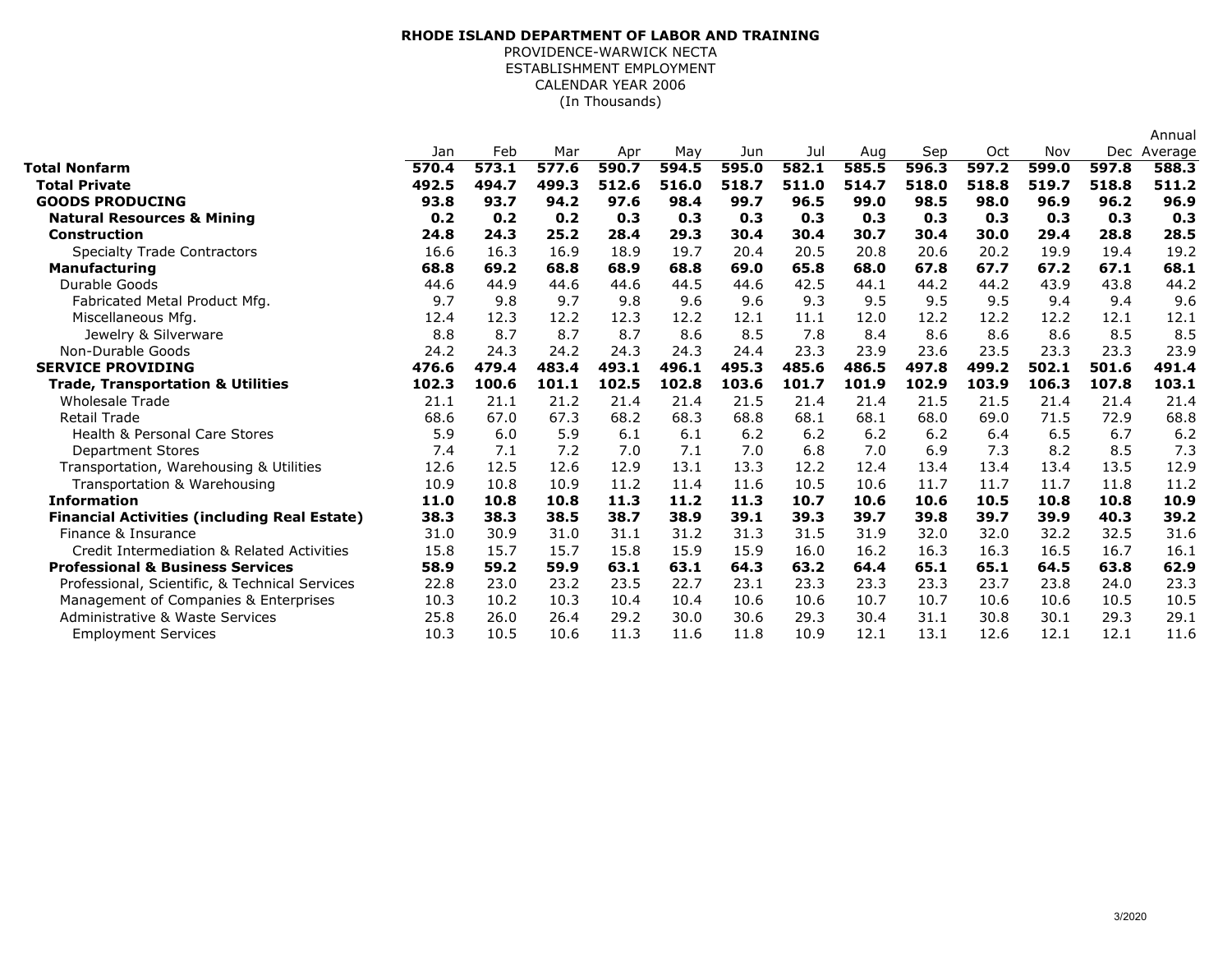## (In Thousands)**RHODE ISLAND DEPARTMENT OF LABOR AND TRAINING**PROVIDENCE-WARWICK NECTA ESTABLISHMENT EMPLOYMENTCALENDAR YEAR 2006

|                                                     |       |       |       |       |       |       |       |       |       |       |       |       | Annual      |
|-----------------------------------------------------|-------|-------|-------|-------|-------|-------|-------|-------|-------|-------|-------|-------|-------------|
|                                                     | Jan   | Feb   | Mar   | Apr   | May   | Jun   | Jul   | Aug   | Sep   | Oct   | Nov   |       | Dec Average |
| Total Nonfarm                                       | 570.4 | 573.1 | 577.6 | 590.7 | 594.5 | 595.0 | 582.1 | 585.5 | 596.3 | 597.2 | 599.0 | 597.8 | 588.3       |
| <b>Total Private</b>                                | 492.5 | 494.7 | 499.3 | 512.6 | 516.0 | 518.7 | 511.0 | 514.7 | 518.0 | 518.8 | 519.7 | 518.8 | 511.2       |
| <b>GOODS PRODUCING</b>                              | 93.8  | 93.7  | 94.2  | 97.6  | 98.4  | 99.7  | 96.5  | 99.0  | 98.5  | 98.0  | 96.9  | 96.2  | 96.9        |
| <b>Natural Resources &amp; Mining</b>               | 0.2   | 0.2   | 0.2   | 0.3   | 0.3   | 0.3   | 0.3   | 0.3   | 0.3   | 0.3   | 0.3   | 0.3   | 0.3         |
| Construction                                        | 24.8  | 24.3  | 25.2  | 28.4  | 29.3  | 30.4  | 30.4  | 30.7  | 30.4  | 30.0  | 29.4  | 28.8  | 28.5        |
| <b>Specialty Trade Contractors</b>                  | 16.6  | 16.3  | 16.9  | 18.9  | 19.7  | 20.4  | 20.5  | 20.8  | 20.6  | 20.2  | 19.9  | 19.4  | 19.2        |
| <b>Manufacturing</b>                                | 68.8  | 69.2  | 68.8  | 68.9  | 68.8  | 69.0  | 65.8  | 68.0  | 67.8  | 67.7  | 67.2  | 67.1  | 68.1        |
| Durable Goods                                       | 44.6  | 44.9  | 44.6  | 44.6  | 44.5  | 44.6  | 42.5  | 44.1  | 44.2  | 44.2  | 43.9  | 43.8  | 44.2        |
| Fabricated Metal Product Mfg.                       | 9.7   | 9.8   | 9.7   | 9.8   | 9.6   | 9.6   | 9.3   | 9.5   | 9.5   | 9.5   | 9.4   | 9.4   | 9.6         |
| Miscellaneous Mfg.                                  | 12.4  | 12.3  | 12.2  | 12.3  | 12.2  | 12.1  | 11.1  | 12.0  | 12.2  | 12.2  | 12.2  | 12.1  | 12.1        |
| Jewelry & Silverware                                | 8.8   | 8.7   | 8.7   | 8.7   | 8.6   | 8.5   | 7.8   | 8.4   | 8.6   | 8.6   | 8.6   | 8.5   | 8.5         |
| Non-Durable Goods                                   | 24.2  | 24.3  | 24.2  | 24.3  | 24.3  | 24.4  | 23.3  | 23.9  | 23.6  | 23.5  | 23.3  | 23.3  | 23.9        |
| <b>SERVICE PROVIDING</b>                            | 476.6 | 479.4 | 483.4 | 493.1 | 496.1 | 495.3 | 485.6 | 486.5 | 497.8 | 499.2 | 502.1 | 501.6 | 491.4       |
| <b>Trade, Transportation &amp; Utilities</b>        | 102.3 | 100.6 | 101.1 | 102.5 | 102.8 | 103.6 | 101.7 | 101.9 | 102.9 | 103.9 | 106.3 | 107.8 | 103.1       |
| <b>Wholesale Trade</b>                              | 21.1  | 21.1  | 21.2  | 21.4  | 21.4  | 21.5  | 21.4  | 21.4  | 21.5  | 21.5  | 21.4  | 21.4  | 21.4        |
| <b>Retail Trade</b>                                 | 68.6  | 67.0  | 67.3  | 68.2  | 68.3  | 68.8  | 68.1  | 68.1  | 68.0  | 69.0  | 71.5  | 72.9  | 68.8        |
| <b>Health &amp; Personal Care Stores</b>            | 5.9   | 6.0   | 5.9   | 6.1   | 6.1   | 6.2   | 6.2   | 6.2   | 6.2   | 6.4   | 6.5   | 6.7   | 6.2         |
| <b>Department Stores</b>                            | 7.4   | 7.1   | 7.2   | 7.0   | 7.1   | 7.0   | 6.8   | 7.0   | 6.9   | 7.3   | 8.2   | 8.5   | 7.3         |
| Transportation, Warehousing & Utilities             | 12.6  | 12.5  | 12.6  | 12.9  | 13.1  | 13.3  | 12.2  | 12.4  | 13.4  | 13.4  | 13.4  | 13.5  | 12.9        |
| Transportation & Warehousing                        | 10.9  | 10.8  | 10.9  | 11.2  | 11.4  | 11.6  | 10.5  | 10.6  | 11.7  | 11.7  | 11.7  | 11.8  | 11.2        |
| <b>Information</b>                                  | 11.0  | 10.8  | 10.8  | 11.3  | 11.2  | 11.3  | 10.7  | 10.6  | 10.6  | 10.5  | 10.8  | 10.8  | 10.9        |
| <b>Financial Activities (including Real Estate)</b> | 38.3  | 38.3  | 38.5  | 38.7  | 38.9  | 39.1  | 39.3  | 39.7  | 39.8  | 39.7  | 39.9  | 40.3  | 39.2        |
| Finance & Insurance                                 | 31.0  | 30.9  | 31.0  | 31.1  | 31.2  | 31.3  | 31.5  | 31.9  | 32.0  | 32.0  | 32.2  | 32.5  | 31.6        |
| Credit Intermediation & Related Activities          | 15.8  | 15.7  | 15.7  | 15.8  | 15.9  | 15.9  | 16.0  | 16.2  | 16.3  | 16.3  | 16.5  | 16.7  | 16.1        |
| <b>Professional &amp; Business Services</b>         | 58.9  | 59.2  | 59.9  | 63.1  | 63.1  | 64.3  | 63.2  | 64.4  | 65.1  | 65.1  | 64.5  | 63.8  | 62.9        |
| Professional, Scientific, & Technical Services      | 22.8  | 23.0  | 23.2  | 23.5  | 22.7  | 23.1  | 23.3  | 23.3  | 23.3  | 23.7  | 23.8  | 24.0  | 23.3        |
| Management of Companies & Enterprises               | 10.3  | 10.2  | 10.3  | 10.4  | 10.4  | 10.6  | 10.6  | 10.7  | 10.7  | 10.6  | 10.6  | 10.5  | 10.5        |
| Administrative & Waste Services                     | 25.8  | 26.0  | 26.4  | 29.2  | 30.0  | 30.6  | 29.3  | 30.4  | 31.1  | 30.8  | 30.1  | 29.3  | 29.1        |
| <b>Employment Services</b>                          | 10.3  | 10.5  | 10.6  | 11.3  | 11.6  | 11.8  | 10.9  | 12.1  | 13.1  | 12.6  | 12.1  | 12.1  | 11.6        |
|                                                     |       |       |       |       |       |       |       |       |       |       |       |       |             |